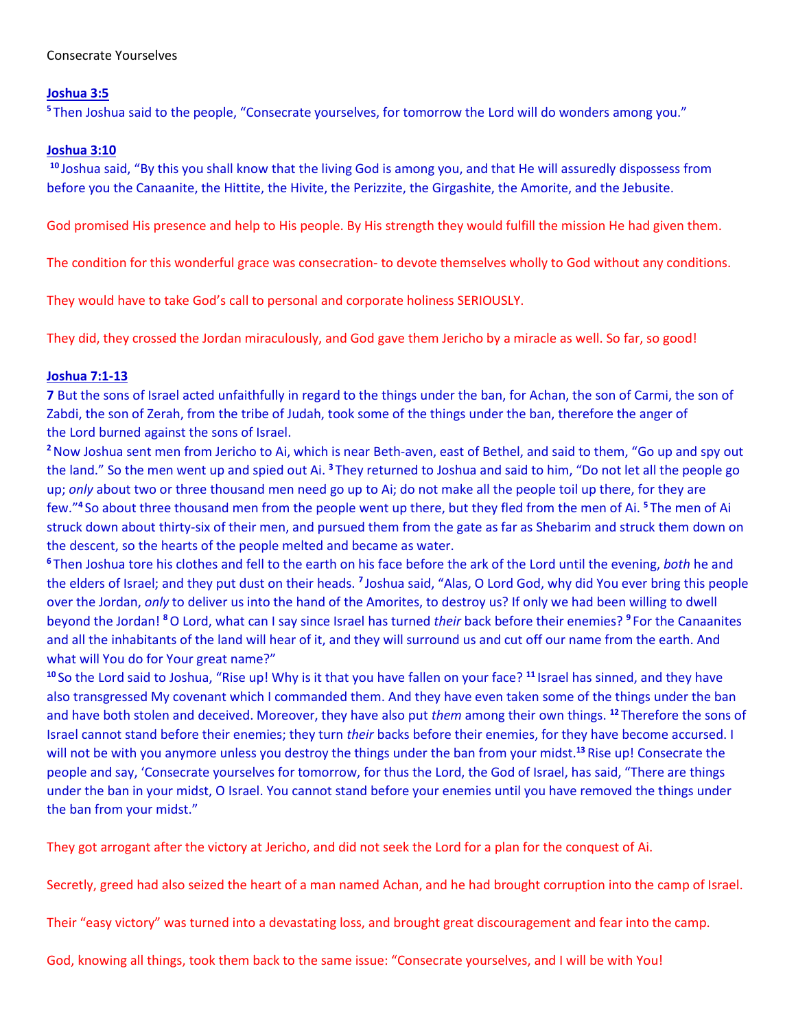# **Joshua 3:5**

**<sup>5</sup>** Then Joshua said to the people, "Consecrate yourselves, for tomorrow the Lord will do wonders among you."

## **Joshua 3:10**

**<sup>10</sup>** Joshua said, "By this you shall know that the living God is among you, and that He will assuredly dispossess from before you the Canaanite, the Hittite, the Hivite, the Perizzite, the Girgashite, the Amorite, and the Jebusite.

God promised His presence and help to His people. By His strength they would fulfill the mission He had given them.

The condition for this wonderful grace was consecration- to devote themselves wholly to God without any conditions.

They would have to take God's call to personal and corporate holiness SERIOUSLY.

They did, they crossed the Jordan miraculously, and God gave them Jericho by a miracle as well. So far, so good!

# **Joshua 7:1-13**

**7** But the sons of Israel acted unfaithfully in regard to the things under the ban, for Achan, the son of Carmi, the son of Zabdi, the son of Zerah, from the tribe of Judah, took some of the things under the ban, therefore the anger of the Lord burned against the sons of Israel.

**<sup>2</sup>**Now Joshua sent men from Jericho to Ai, which is near Beth-aven, east of Bethel, and said to them, "Go up and spy out the land." So the men went up and spied out Ai. **<sup>3</sup>** They returned to Joshua and said to him, "Do not let all the people go up; *only* about two or three thousand men need go up to Ai; do not make all the people toil up there, for they are few."**<sup>4</sup>** So about three thousand men from the people went up there, but they fled from the men of Ai. **<sup>5</sup>** The men of Ai struck down about thirty-six of their men, and pursued them from the gate as far as Shebarim and struck them down on the descent, so the hearts of the people melted and became as water.

**<sup>6</sup>** Then Joshua tore his clothes and fell to the earth on his face before the ark of the Lord until the evening, *both* he and the elders of Israel; and they put dust on their heads. **<sup>7</sup>** Joshua said, "Alas, O Lord God, why did You ever bring this people over the Jordan, *only* to deliver us into the hand of the Amorites, to destroy us? If only we had been willing to dwell beyond the Jordan! **<sup>8</sup>**O Lord, what can I say since Israel has turned *their* back before their enemies? **<sup>9</sup>** For the Canaanites and all the inhabitants of the land will hear of it, and they will surround us and cut off our name from the earth. And what will You do for Your great name?"

**<sup>10</sup>** So the Lord said to Joshua, "Rise up! Why is it that you have fallen on your face? **<sup>11</sup>** Israel has sinned, and they have also transgressed My covenant which I commanded them. And they have even taken some of the things under the ban and have both stolen and deceived. Moreover, they have also put *them* among their own things. **<sup>12</sup>** Therefore the sons of Israel cannot stand before their enemies; they turn *their* backs before their enemies, for they have become accursed. I will not be with you anymore unless you destroy the things under the ban from your midst.**<sup>13</sup>** Rise up! Consecrate the people and say, 'Consecrate yourselves for tomorrow, for thus the Lord, the God of Israel, has said, "There are things under the ban in your midst, O Israel. You cannot stand before your enemies until you have removed the things under the ban from your midst."

They got arrogant after the victory at Jericho, and did not seek the Lord for a plan for the conquest of Ai.

Secretly, greed had also seized the heart of a man named Achan, and he had brought corruption into the camp of Israel.

Their "easy victory" was turned into a devastating loss, and brought great discouragement and fear into the camp.

God, knowing all things, took them back to the same issue: "Consecrate yourselves, and I will be with You!